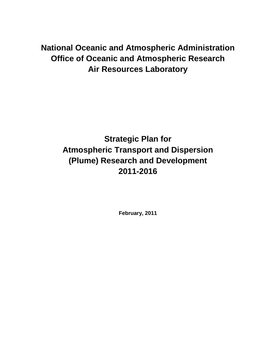## **National Oceanic and Atmospheric Administration Office of Oceanic and Atmospheric Research Air Resources Laboratory**

# **Strategic Plan for Atmospheric Transport and Dispersion (Plume) Research and Development 2011-2016**

**February, 2011**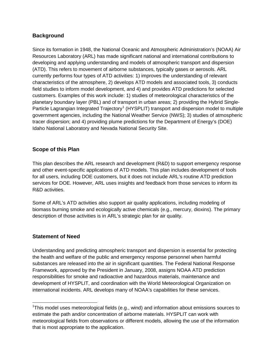### **Background**

Since its formation in 1948, the National Oceanic and Atmospheric Administration's (NOAA) Air Resources Laboratory (ARL) has made significant national and international contributions to developing and applying understanding and models of atmospheric transport and dispersion (ATD). This refers to movement of airborne substances, typically gases or aerosols. ARL currently performs four types of ATD activities: 1) improves the understanding of relevant characteristics of the atmosphere, 2) develops ATD models and associated tools, 3) conducts field studies to inform model development, and 4) and provides ATD predictions for selected customers. Examples of this work include: 1) studies of meteorological characteristics of the planetary boundary layer (PBL) and of transport in urban areas; 2) providing the Hybrid Single-Particle Lagrangian Integrated Trajectory<sup>[1](#page-1-0)</sup> (HYSPLIT) transport and dispersion model to multiple government agencies, including the National Weather Service (NWS); 3) studies of atmospheric tracer dispersion; and 4) providing plume predictions for the Department of Energy's (DOE) Idaho National Laboratory and Nevada National Security Site.

### **Scope of this Plan**

This plan describes the ARL research and development (R&D) to support emergency response and other event-specific applications of ATD models. This plan includes development of tools for all users, including DOE customers, but it does not include ARL's routine ATD prediction services for DOE. However, ARL uses insights and feedback from those services to inform its R&D activities.

Some of ARL's ATD activities also support air quality applications, including modeling of biomass burning smoke and ecologically active chemicals (e.g., mercury, dioxins). The primary description of those activities is in ARL's strategic plan for air quality.

## **Statement of Need**

Understanding and predicting atmospheric transport and dispersion is essential for protecting the health and welfare of the public and emergency response personnel when harmful substances are released into the air in significant quantities. The Federal National Response Framework, approved by the President in January, 2008, assigns NOAA ATD prediction responsibilities for smoke and radioactive and hazardous materials, maintenance and development of HYSPLIT, and coordination with the World Meteorological Organization on international incidents. ARL develops many of NOAA's capabilities for these services.

<span id="page-1-0"></span> <sup>1</sup> This model uses meteorological fields (e.g., wind) and information about emissions sources to estimate the path and/or concentration of airborne materials. HYSPLIT can work with meteorological fields from observations or different models, allowing the use of the information that is most appropriate to the application.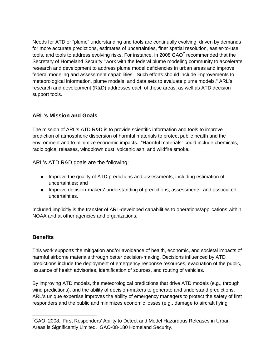Needs for ATD or "plume" understanding and tools are continually evolving, driven by demands for more accurate predictions, estimates of uncertainties, finer spatial resolution, easier-to-use tools, and tools to address evolving risks. For instance, in [2](#page-2-0)008 GAO $^2$  recommended that the Secretary of Homeland Security "work with the federal plume modeling community to accelerate research and development to address plume model deficiencies in urban areas and improve federal modeling and assessment capabilities. Such efforts should include improvements to meteorological information, plume models, and data sets to evaluate plume models." ARL's research and development (R&D) addresses each of these areas, as well as ATD decision support tools.

## **ARL's Mission and Goals**

The mission of ARL's ATD R&D is to provide scientific information and tools to improve prediction of atmospheric dispersion of harmful materials to protect public health and the environment and to minimize economic impacts. "Harmful materials" could include chemicals, radiological releases, windblown dust, volcanic ash, and wildfire smoke.

ARL's ATD R&D goals are the following:

- Improve the quality of ATD predictions and assessments, including estimation of uncertainties; and
- Improve decision-makers' understanding of predictions, assessments, and associated uncertainties.

Included implicitly is the transfer of ARL-developed capabilities to operations/applications within NOAA and at other agencies and organizations.

## **Benefits**

This work supports the mitigation and/or avoidance of health, economic, and societal impacts of harmful airborne materials through better decision-making. Decisions influenced by ATD predictions include the deployment of emergency response resources, evacuation of the public, issuance of health advisories, identification of sources, and routing of vehicles.

By improving ATD models, the meteorological predictions that drive ATD models (e.g., through wind predictions), and the ability of decision-makers to generate and understand predictions, ARL's unique expertise improves the ability of emergency managers to protect the safety of first responders and the public and minimizes economic losses (e.g., damage to aircraft flying

<span id="page-2-0"></span> <sup>2</sup> GAO, 2008. First Responders' Ability to Detect and Model Hazardous Releases in Urban Areas is Significantly Limited. GAO-08-180 Homeland Security.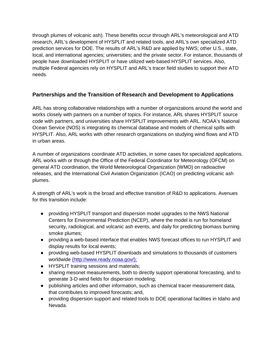through plumes of volcanic ash). These benefits occur through ARL's meteorological and ATD research, ARL's development of HYSPLIT and related tools, and ARL's own specialized ATD prediction services for DOE. The results of ARL's R&D are applied by NWS; other U.S., state, local, and international agencies; universities; and the private sector. For instance, thousands of people have downloaded HYSPLIT or have utilized web-based HYSPLIT services. Also, multiple Federal agencies rely on HYSPLIT and ARL's tracer field studies to support their ATD needs.

## **Partnerships and the Transition of Research and Development to Applications**

ARL has strong collaborative relationships with a number of organizations around the world and works closely with partners on a number of topics. For instance, ARL shares HYSPLIT source code with partners, and universities share HYSPLIT improvements with ARL. NOAA's National Ocean Service (NOS) is integrating its chemical database and models of chemical spills with HYSPLIT. Also, ARL works with other research organizations on studying wind flows and ATD in urban areas.

A number of organizations coordinate ATD activities, in some cases for specialized applications. ARL works with or through the Office of the Federal Coordinator for Meteorology (OFCM) on general ATD coordination, the World Meteorological Organization (WMO) on radioactive releases, and the International Civil Aviation Organization (ICAO) on predicting volcanic ash plumes.

A strength of ARL's work is the broad and effective transition of R&D to applications. Avenues for this transition include:

- providing HYSPLIT transport and dispersion model upgrades to the NWS National Centers for Environmental Prediction (NCEP), where the model is run for homeland security, radiological, and volcanic ash events, and daily for predicting biomass burning smoke plumes;
- providing a web-based interface that enables NWS forecast offices to run HYSPLIT and display results for local events;
- providing web-based HYSPLIT downloads and simulations to thousands of customers worldwide (http://www.ready.noaa.gov/);
- HYSPLIT training sessions and materials;
- sharing mesonet measurements, both to directly support operational forecasting, and to generate 3-D wind fields for dispersion modeling;
- publishing articles and other information, such as chemical tracer measurement data, that contributes to improved forecasts; and,
- providing dispersion support and related tools to DOE operational facilities in Idaho and Nevada.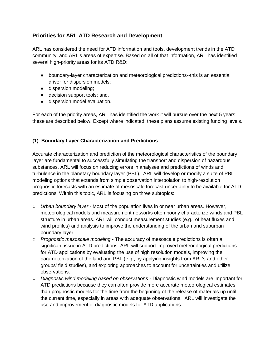## **Priorities for ARL ATD Research and Development**

ARL has considered the need for ATD information and tools, development trends in the ATD community, and ARL's areas of expertise. Based on all of that information, ARL has identified several high-priority areas for its ATD R&D:

- boundary-layer characterization and meteorological predictions--this is an essential driver for dispersion models;
- dispersion modeling;
- decision support tools; and,
- dispersion model evaluation.

For each of the priority areas, ARL has identified the work it will pursue over the next 5 years; these are described below. Except where indicated, these plans assume existing funding levels.

### **(1) Boundary Layer Characterization and Predictions**

Accurate characterization and prediction of the meteorological characteristics of the boundary layer are fundamental to successfully simulating the transport and dispersion of hazardous substances. ARL will focus on reducing errors in analyses and predictions of winds and turbulence in the planetary boundary layer (PBL). ARL will develop or modify a suite of PBL modeling options that extends from simple observation interpolation to high-resolution prognostic forecasts with an estimate of mesoscale forecast uncertainty to be available for ATD predictions. Within this topic, ARL is focusing on three subtopics:

- *Urban boundary layer* Most of the population lives in or near urban areas. However, meteorological models and measurement networks often poorly characterize winds and PBL structure in urban areas. ARL will conduct measurement studies (e.g., of heat fluxes and wind profiles) and analysis to improve the understanding of the urban and suburban boundary layer.
- *Prognostic mesoscale modeling* The accuracy of mesoscale predictions is often a significant issue in ATD predictions. ARL will support improved meteorological predictions for ATD applications by evaluating the use of high resolution models, improving the parameterization of the land and PBL (e.g., by applying insights from ARL's and other groups' field studies), and exploring approaches to account for uncertainties and utilize observations.
- *Diagnostic wind modeling based on observations*  Diagnostic wind models are important for ATD predictions because they can often provide more accurate meteorological estimates than prognostic models for the time from the beginning of the release of materials up until the current time, especially in areas with adequate observations. ARL will investigate the use and improvement of diagnostic models for ATD applications.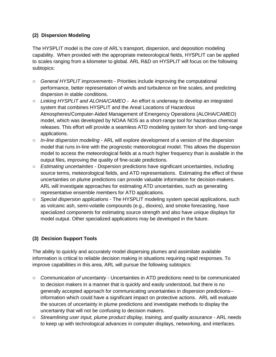## **(2) Dispersion Modeling**

The HYSPLIT model is the core of ARL's transport, dispersion, and deposition modeling capability. When provided with the appropriate meteorological fields, HYSPLIT can be applied to scales ranging from a kilometer to global. ARL R&D on HYSPLIT will focus on the following subtopics:

- *General HYSPLIT improvements*  Priorities include improving the computational performance, better representation of winds and turbulence on fine scales, and predicting dispersion in stable conditions.
- *Linking HYSPLIT and ALOHA/CAMEO*  An effort is underway to develop an integrated system that combines HYSPLIT and the Areal Locations of Hazardous Atmospheres/Computer-Aided Management of Emergency Operations (ALOHA/CAMEO) model, which was developed by NOAA NOS as a short-range tool for hazardous chemical releases. This effort will provide a seamless ATD modeling system for short- and long-range applications.
- *In-line dispersion modeling* ARL will explore development of a version of the dispersion model that runs in-line with the prognostic meteorological model. This allows the dispersion model to access the meteorological fields at a much higher frequency than is available in the output files, improving the quality of fine-scale predictions.
- *Estimating uncertainties -* Dispersion predictions have significant uncertainties, including source terms, meteorological fields, and ATD representations. Estimating the effect of these uncertainties on plume predictions can provide valuable information for decision-makers. ARL will investigate approaches for estimating ATD uncertainties, such as generating representative ensemble members for ATD applications.
- *Special dispersion applications*  The HYSPLIT modeling system special applications, such as volcanic ash, semi-volatile compounds (e.g., dioxins), and smoke forecasting, have specialized components for estimating source strength and also have unique displays for model output. Other specialized applications may be developed in the future.

## **(3) Decision Support Tools**

The ability to quickly and accurately model dispersing plumes and assimilate available information is critical to reliable decision making in situations requiring rapid responses. To improve capabilities in this area, ARL will pursue the following subtopics:

- *Communication of uncertainty*  Uncertainties in ATD predictions need to be communicated to decision makers in a manner that is quickly and easily understood, but there is no generally accepted approach for communicating uncertainties in dispersion predictions- information which could have a significant impact on protective actions. ARL will evaluate the sources of uncertainty in plume predictions and investigate methods to display the uncertainty that will not be confusing to decision makers.
- *Streamlining user input, plume product display, training, and quality assurance*  ARL needs to keep up with technological advances in computer displays, networking, and interfaces.